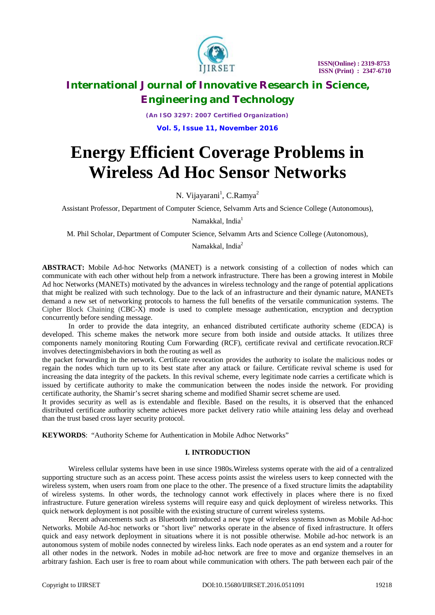

*(An ISO 3297: 2007 Certified Organization)* **Vol. 5, Issue 11, November 2016**

# **Energy Efficient Coverage Problems in Wireless Ad Hoc Sensor Networks**

N. Vijayarani<sup>1</sup>, C.Ramya<sup>2</sup>

Assistant Professor, Department of Computer Science, Selvamm Arts and Science College (Autonomous),

Namakkal, India<sup>1</sup>

M. Phil Scholar, Department of Computer Science, Selvamm Arts and Science College (Autonomous),

Namakkal, India<sup>2</sup>

**ABSTRACT:** Mobile Ad-hoc Networks (MANET) is a network consisting of a collection of nodes which can communicate with each other without help from a network infrastructure. There has been a growing interest in Mobile Ad hoc Networks (MANETs) motivated by the advances in wireless technology and the range of potential applications that might be realized with such technology. Due to the lack of an infrastructure and their dynamic nature, MANETs demand a new set of networking protocols to harness the full benefits of the versatile communication systems. The Cipher Block Chaining (CBC-X) mode is used to complete message authentication, encryption and decryption concurrently before sending message.

In order to provide the data integrity, an enhanced distributed certificate authority scheme (EDCA) is developed. This scheme makes the network more secure from both inside and outside attacks. It utilizes three components namely monitoring Routing Cum Forwarding (RCF), certificate revival and certificate revocation.RCF involves detectingmisbehaviors in both the routing as well as

the packet forwarding in the network. Certificate revocation provides the authority to isolate the malicious nodes or regain the nodes which turn up to its best state after any attack or failure. Certificate revival scheme is used for increasing the data integrity of the packets. In this revival scheme, every legitimate node carries a certificate which is issued by certificate authority to make the communication between the nodes inside the network. For providing certificate authority, the Shamir's secret sharing scheme and modified Shamir secret scheme are used.

It provides security as well as is extendable and flexible. Based on the results, it is observed that the enhanced distributed certificate authority scheme achieves more packet delivery ratio while attaining less delay and overhead than the trust based cross layer security protocol.

**KEYWORDS**: "Authority Scheme for Authentication in Mobile Adhoc Networks"

# **I. INTRODUCTION**

Wireless cellular systems have been in use since 1980s.Wireless systems operate with the aid of a centralized supporting structure such as an access point. These access points assist the wireless users to keep connected with the wireless system, when users roam from one place to the other. The presence of a fixed structure limits the adaptability of wireless systems. In other words, the technology cannot work effectively in places where there is no fixed infrastructure. Future generation wireless systems will require easy and quick deployment of wireless networks. This quick network deployment is not possible with the existing structure of current wireless systems.

Recent advancements such as Bluetooth introduced a new type of wireless systems known as Mobile Ad-hoc Networks. Mobile Ad-hoc networks or "short live" networks operate in the absence of fixed infrastructure. It offers quick and easy network deployment in situations where it is not possible otherwise. Mobile ad-hoc network is an autonomous system of mobile nodes connected by wireless links. Each node operates as an end system and a router for all other nodes in the network. Nodes in mobile ad-hoc network are free to move and organize themselves in an arbitrary fashion. Each user is free to roam about while communication with others. The path between each pair of the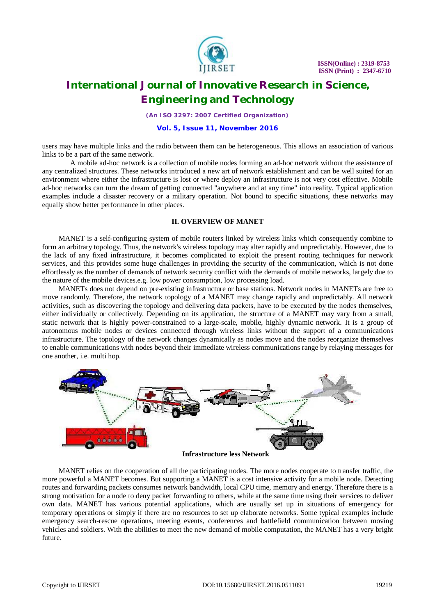

*(An ISO 3297: 2007 Certified Organization)*

### **Vol. 5, Issue 11, November 2016**

users may have multiple links and the radio between them can be heterogeneous. This allows an association of various links to be a part of the same network.

A mobile ad-hoc network is a collection of mobile nodes forming an ad-hoc network without the assistance of any centralized structures. These networks introduced a new art of network establishment and can be well suited for an environment where either the infrastructure is lost or where deploy an infrastructure is not very cost effective. Mobile ad-hoc networks can turn the dream of getting connected "anywhere and at any time" into reality. Typical application examples include a disaster recovery or a military operation. Not bound to specific situations, these networks may equally show better performance in other places.

# **II. OVERVIEW OF MANET**

MANET is a self-configuring system of mobile routers linked by wireless links which consequently combine to form an arbitrary topology. Thus, the network's wireless topology may alter rapidly and unpredictably. However, due to the lack of any fixed infrastructure, it becomes complicated to exploit the present routing techniques for network services, and this provides some huge challenges in providing the security of the communication, which is not done effortlessly as the number of demands of network security conflict with the demands of mobile networks, largely due to the nature of the mobile devices.e.g. low power consumption, low processing load.

MANETs does not depend on pre-existing infrastructure or base stations. Network nodes in MANETs are free to move randomly. Therefore, the network topology of a MANET may change rapidly and unpredictably. All network activities, such as discovering the topology and delivering data packets, have to be executed by the nodes themselves, either individually or collectively. Depending on its application, the structure of a MANET may vary from a small, static network that is highly power-constrained to a large-scale, mobile, highly dynamic network. It is a group of autonomous mobile nodes or devices connected through wireless links without the support of a communications infrastructure. The topology of the network changes dynamically as nodes move and the nodes reorganize themselves to enable communications with nodes beyond their immediate wireless communications range by relaying messages for one another, i.e. multi hop.



**Infrastructure less Network**

MANET relies on the cooperation of all the participating nodes. The more nodes cooperate to transfer traffic, the more powerful a MANET becomes. But supporting a MANET is a cost intensive activity for a mobile node. Detecting routes and forwarding packets consumes network bandwidth, local CPU time, memory and energy. Therefore there is a strong motivation for a node to deny packet forwarding to others, while at the same time using their services to deliver own data. MANET has various potential applications, which are usually set up in situations of emergency for temporary operations or simply if there are no resources to set up elaborate networks. Some typical examples include emergency search-rescue operations, meeting events, conferences and battlefield communication between moving vehicles and soldiers. With the abilities to meet the new demand of mobile computation, the MANET has a very bright future.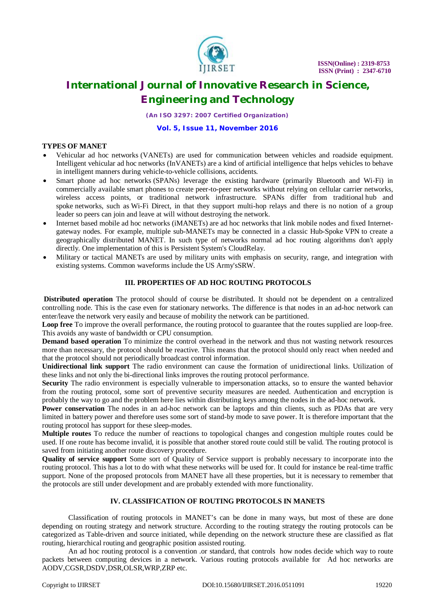

*(An ISO 3297: 2007 Certified Organization)*

### **Vol. 5, Issue 11, November 2016**

# **TYPES OF MANET**

- Vehicular ad hoc networks (VANETs) are used for communication between vehicles and roadside equipment. Intelligent vehicular ad hoc networks (InVANETs) are a kind of artificial intelligence that helps vehicles to behave in intelligent manners during vehicle-to-vehicle collisions, accidents.
- Smart phone ad hoc networks (SPANs) leverage the existing hardware (primarily Bluetooth and Wi-Fi) in commercially available smart phones to create peer-to-peer networks without relying on cellular carrier networks, wireless access points, or traditional network infrastructure. SPANs differ from traditional hub and spoke networks, such as Wi-Fi Direct, in that they support multi-hop relays and there is no notion of a group leader so peers can join and leave at will without destroying the network.
- Internet based mobile ad hoc networks (iMANETs) are ad hoc networks that link mobile nodes and fixed Internetgateway nodes. For example, multiple sub-MANETs may be connected in a classic Hub-Spoke VPN to create a geographically distributed MANET. In such type of networks normal ad hoc routing algorithms don't apply directly. One implementation of this is Persistent System's CloudRelay.
- Military or tactical MANETs are used by military units with emphasis on security, range, and integration with existing systems. Common waveforms include the US Army'sSRW.

# **III. PROPERTIES OF AD HOC ROUTING PROTOCOLS**

**Distributed operation** The protocol should of course be distributed. It should not be dependent on a centralized controlling node. This is the case even for stationary networks. The difference is that nodes in an ad-hoc network can enter/leave the network very easily and because of mobility the network can be partitioned.

**Loop free** To improve the overall performance, the routing protocol to guarantee that the routes supplied are loop-free. This avoids any waste of bandwidth or CPU consumption.

**Demand based operation** To minimize the control overhead in the network and thus not wasting network resources more than necessary, the protocol should be reactive. This means that the protocol should only react when needed and that the protocol should not periodically broadcast control information.

**Unidirectional link support** The radio environment can cause the formation of unidirectional links. Utilization of these links and not only the bi-directional links improves the routing protocol performance.

**Security** The radio environment is especially vulnerable to impersonation attacks, so to ensure the wanted behavior from the routing protocol, some sort of preventive security measures are needed. Authentication and encryption is probably the way to go and the problem here lies within distributing keys among the nodes in the ad-hoc network.

**Power conservation** The nodes in an ad-hoc network can be laptops and thin clients, such as PDAs that are very limited in battery power and therefore uses some sort of stand-by mode to save power. It is therefore important that the routing protocol has support for these sleep-modes.

**Multiple routes** To reduce the number of reactions to topological changes and congestion multiple routes could be used. If one route has become invalid, it is possible that another stored route could still be valid. The routing protocol is saved from initiating another route discovery procedure.

**Quality of service support** Some sort of Quality of Service support is probably necessary to incorporate into the routing protocol. This has a lot to do with what these networks will be used for. It could for instance be real-time traffic support. None of the proposed protocols from MANET have all these properties, but it is necessary to remember that the protocols are still under development and are probably extended with more functionality.

# **IV. CLASSIFICATION OF ROUTING PROTOCOLS IN MANETS**

Classification of routing protocols in MANET's can be done in many ways, but most of these are done depending on routing strategy and network structure. According to the routing strategy the routing protocols can be categorized as Table-driven and source initiated, while depending on the network structure these are classified as flat routing, hierarchical routing and geographic position assisted routing.

An ad hoc routing protocol is a convention .or standard, that controls how nodes decide which way to route packets between computing devices in a network. Various routing protocols available for Ad hoc networks are AODV,CGSR,DSDV,DSR,OLSR,WRP,ZRP etc.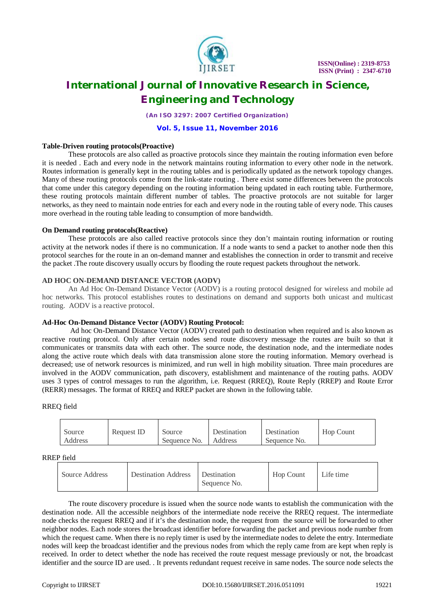

*(An ISO 3297: 2007 Certified Organization)*

#### **Vol. 5, Issue 11, November 2016**

### **Table-Driven routing protocols(Proactive)**

These protocols are also called as proactive protocols since they maintain the routing information even before it is needed . Each and every node in the network maintains routing information to every other node in the network. Routes information is generally kept in the routing tables and is periodically updated as the network topology changes. Many of these routing protocols come from the link-state routing . There exist some differences between the protocols that come under this category depending on the routing information being updated in each routing table. Furthermore, these routing protocols maintain different number of tables. The proactive protocols are not suitable for larger networks, as they need to maintain node entries for each and every node in the routing table of every node. This causes more overhead in the routing table leading to consumption of more bandwidth.

### **On Demand routing protocols(Reactive)**

These protocols are also called reactive protocols since they don't maintain routing information or routing activity at the network nodes if there is no communication. If a node wants to send a packet to another node then this protocol searches for the route in an on-demand manner and establishes the connection in order to transmit and receive the packet .The route discovery usually occurs by flooding the route request packets throughout the network.

### **AD HOC ON-DEMAND DISTANCE VECTOR (AODV)**

An Ad Hoc On-Demand Distance Vector (AODV) is a routing protocol designed for wireless and mobile ad hoc networks. This protocol establishes routes to destinations on demand and supports both unicast and multicast routing. AODV is a reactive protocol.

#### **Ad-Hoc On-Demand Distance Vector (AODV) Routing Protocol:**

Ad hoc On-Demand Distance Vector (AODV) created path to destination when required and is also known as reactive routing protocol. Only after certain nodes send route discovery message the routes are built so that it communicates or transmits data with each other. The source node, the destination node, and the intermediate nodes along the active route which deals with data transmission alone store the routing information. Memory overhead is decreased; use of network resources is minimized, and run well in high mobility situation. Three main procedures are involved in the AODV communication, path discovery, establishment and maintenance of the routing paths. AODV uses 3 types of control messages to run the algorithm, i.e. Request (RREQ), Route Reply (RREP) and Route Error (RERR) messages. The format of RREQ and RREP packet are shown in the following table.

### RREQ field

| Source  | Request ID | Source       | Destination | Destination  | Hop Count |
|---------|------------|--------------|-------------|--------------|-----------|
| Address |            | Sequence No. | Address     | Sequence No. |           |

#### RREP field

| -------        |                            |                                    |           |           |  |  |  |
|----------------|----------------------------|------------------------------------|-----------|-----------|--|--|--|
| Source Address | <b>Destination Address</b> | <b>Destination</b><br>Sequence No. | Hop Count | Life time |  |  |  |

The route discovery procedure is issued when the source node wants to establish the communication with the destination node. All the accessible neighbors of the intermediate node receive the RREQ request. The intermediate node checks the request RREQ and if it's the destination node, the request from the source will be forwarded to other neighbor nodes. Each node stores the broadcast identifier before forwarding the packet and previous node number from which the request came. When there is no reply timer is used by the intermediate nodes to delete the entry. Intermediate nodes will keep the broadcast identifier and the previous nodes from which the reply came from are kept when reply is received. In order to detect whether the node has received the route request message previously or not, the broadcast identifier and the source ID are used. . It prevents redundant request receive in same nodes. The source node selects the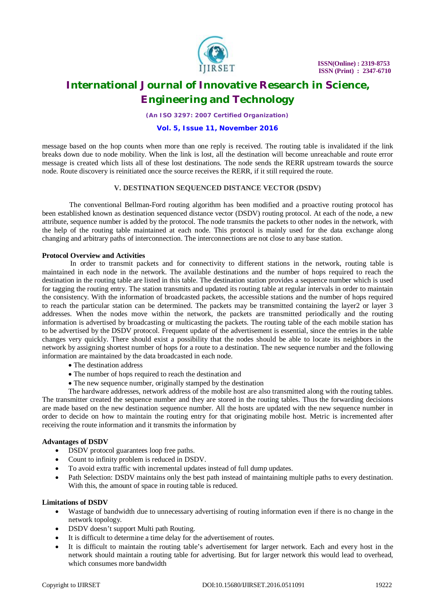

*(An ISO 3297: 2007 Certified Organization)*

### **Vol. 5, Issue 11, November 2016**

message based on the hop counts when more than one reply is received. The routing table is invalidated if the link breaks down due to node mobility. When the link is lost, all the destination will become unreachable and route error message is created which lists all of these lost destinations. The node sends the RERR upstream towards the source node. Route discovery is reinitiated once the source receives the RERR, if it still required the route.

# **V. DESTINATION SEQUENCED DISTANCE VECTOR (DSDV)**

 The conventional Bellman-Ford routing algorithm has been modified and a proactive routing protocol has been established known as destination sequenced distance vector (DSDV) routing protocol. At each of the node, a new attribute, sequence number is added by the protocol. The node transmits the packets to other nodes in the network, with the help of the routing table maintained at each node. This protocol is mainly used for the data exchange along changing and arbitrary paths of interconnection. The interconnections are not close to any base station.

### **Protocol Overview and Activities**

In order to transmit packets and for connectivity to different stations in the network, routing table is maintained in each node in the network. The available destinations and the number of hops required to reach the destination in the routing table are listed in this table. The destination station provides a sequence number which is used for tagging the routing entry. The station transmits and updated its routing table at regular intervals in order to maintain the consistency. With the information of broadcasted packets, the accessible stations and the number of hops required to reach the particular station can be determined. The packets may be transmitted containing the layer2 or layer 3 addresses. When the nodes move within the network, the packets are transmitted periodically and the routing information is advertised by broadcasting or multicasting the packets. The routing table of the each mobile station has to be advertised by the DSDV protocol. Frequent update of the advertisement is essential, since the entries in the table changes very quickly. There should exist a possibility that the nodes should be able to locate its neighbors in the network by assigning shortest number of hops for a route to a destination. The new sequence number and the following information are maintained by the data broadcasted in each node.

- The destination address
- The number of hops required to reach the destination and
- The new sequence number, originally stamped by the destination

The hardware addresses, network address of the mobile host are also transmitted along with the routing tables. The transmitter created the sequence number and they are stored in the routing tables. Thus the forwarding decisions are made based on the new destination sequence number. All the hosts are updated with the new sequence number in order to decide on how to maintain the routing entry for that originating mobile host. Metric is incremented after receiving the route information and it transmits the information by

# **Advantages of DSDV**

- DSDV protocol guarantees loop free paths.
- Count to infinity problem is reduced in DSDV.
- To avoid extra traffic with incremental updates instead of full dump updates.
- Path Selection: DSDV maintains only the best path instead of maintaining multiple paths to every destination. With this, the amount of space in routing table is reduced.

# **Limitations of DSDV**

- Wastage of bandwidth due to unnecessary advertising of routing information even if there is no change in the network topology.
- DSDV doesn't support Multi path Routing.
- It is difficult to determine a time delay for the advertisement of routes.
- It is difficult to maintain the routing table's advertisement for larger network. Each and every host in the network should maintain a routing table for advertising. But for larger network this would lead to overhead, which consumes more bandwidth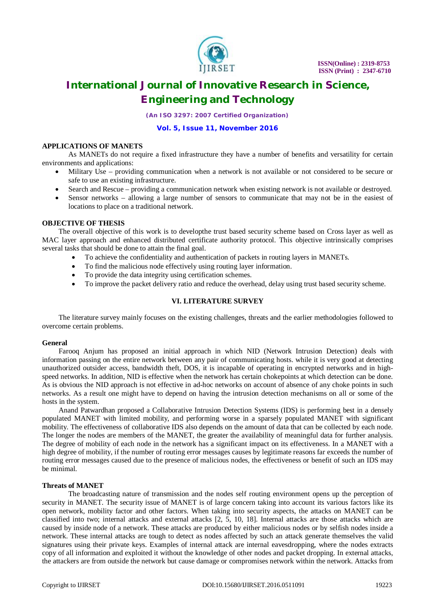

*(An ISO 3297: 2007 Certified Organization)*

**Vol. 5, Issue 11, November 2016**

### **APPLICATIONS OF MANETS**

As MANETs do not require a fixed infrastructure they have a number of benefits and versatility for certain environments and applications:

- Military Use providing communication when a network is not available or not considered to be secure or safe to use an existing infrastructure.
- Search and Rescue providing a communication network when existing network is not available or destroyed.
- Sensor networks allowing a large number of sensors to communicate that may not be in the easiest of locations to place on a traditional network.

# **OBJECTIVE OF THESIS**

The overall objective of this work is to developthe trust based security scheme based on Cross layer as well as MAC layer approach and enhanced distributed certificate authority protocol. This objective intrinsically comprises several tasks that should be done to attain the final goal.

- To achieve the confidentiality and authentication of packets in routing layers in MANETs.
- To find the malicious node effectively using routing layer information.
- To provide the data integrity using certification schemes.
- To improve the packet delivery ratio and reduce the overhead, delay using trust based security scheme.

# **VI. LITERATURE SURVEY**

The literature survey mainly focuses on the existing challenges, threats and the earlier methodologies followed to overcome certain problems.

# **General**

Farooq Anjum has proposed an initial approach in which NID (Network Intrusion Detection) deals with information passing on the entire network between any pair of communicating hosts. while it is very good at detecting unauthorized outsider access, bandwidth theft, DOS, it is incapable of operating in encrypted networks and in highspeed networks. In addition, NID is effective when the network has certain chokepoints at which detection can be done. As is obvious the NID approach is not effective in ad-hoc networks on account of absence of any choke points in such networks. As a result one might have to depend on having the intrusion detection mechanisms on all or some of the hosts in the system.

Anand Patwardhan proposed a Collaborative Intrusion Detection Systems (IDS) is performing best in a densely populated MANET with limited mobility, and performing worse in a sparsely populated MANET with significant mobility. The effectiveness of collaborative IDS also depends on the amount of data that can be collected by each node. The longer the nodes are members of the MANET, the greater the availability of meaningful data for further analysis. The degree of mobility of each node in the network has a significant impact on its effectiveness. In a MANET with a high degree of mobility, if the number of routing error messages causes by legitimate reasons far exceeds the number of routing error messages caused due to the presence of malicious nodes, the effectiveness or benefit of such an IDS may be minimal.

### **Threats of MANET**

The broadcasting nature of transmission and the nodes self routing environment opens up the perception of security in MANET. The security issue of MANET is of large concern taking into account its various factors like its open network, mobility factor and other factors. When taking into security aspects, the attacks on MANET can be classified into two; internal attacks and external attacks [2, 5, 10, 18]. Internal attacks are those attacks which are caused by inside node of a network. These attacks are produced by either malicious nodes or by selfish nodes inside a network. These internal attacks are tough to detect as nodes affected by such an attack generate themselves the valid signatures using their private keys. Examples of internal attack are internal eavesdropping, where the nodes extracts copy of all information and exploited it without the knowledge of other nodes and packet dropping. In external attacks, the attackers are from outside the network but cause damage or compromises network within the network. Attacks from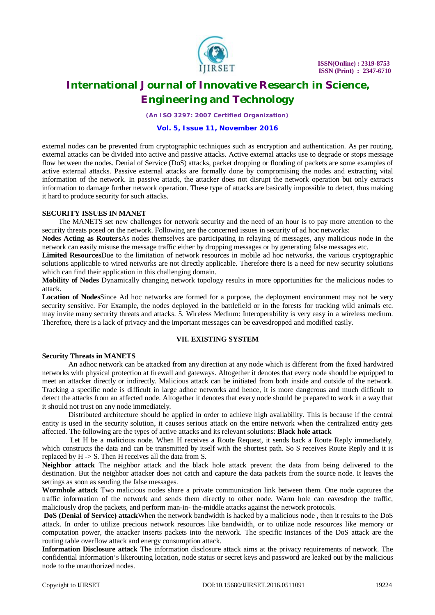

*(An ISO 3297: 2007 Certified Organization)*

#### **Vol. 5, Issue 11, November 2016**

external nodes can be prevented from cryptographic techniques such as encryption and authentication. As per routing, external attacks can be divided into active and passive attacks. Active external attacks use to degrade or stops message flow between the nodes. Denial of Service (DoS) attacks, packet dropping or flooding of packets are some examples of active external attacks. Passive external attacks are formally done by compromising the nodes and extracting vital information of the network. In passive attack, the attacker does not disrupt the network operation but only extracts information to damage further network operation. These type of attacks are basically impossible to detect, thus making it hard to produce security for such attacks.

### **SECURITY ISSUES IN MANET**

The MANETS set new challenges for network security and the need of an hour is to pay more attention to the security threats posed on the network. Following are the concerned issues in security of ad hoc networks:

**Nodes Acting as Routers**As nodes themselves are participating in relaying of messages, any malicious node in the network can easily misuse the message traffic either by dropping messages or by generating false messages etc.

**Limited Resources**Due to the limitation of network resources in mobile ad hoc networks, the various cryptographic solutions applicable to wired networks are not directly applicable. Therefore there is a need for new security solutions which can find their application in this challenging domain.

**Mobility of Nodes** Dynamically changing network topology results in more opportunities for the malicious nodes to attack.

**Location of Nodes**Since Ad hoc networks are formed for a purpose, the deployment environment may not be very security sensitive. For Example, the nodes deployed in the battlefield or in the forests for tracking wild animals etc. may invite many security threats and attacks. 5. Wireless Medium: Interoperability is very easy in a wireless medium. Therefore, there is a lack of privacy and the important messages can be eavesdropped and modified easily.

# **VII. EXISTING SYSTEM**

#### **Security Threats in MANETS**

An adhoc network can be attacked from any direction at any node which is different from the fixed hardwired networks with physical protection at firewall and gateways. Altogether it denotes that every node should be equipped to meet an attacker directly or indirectly. Malicious attack can be initiated from both inside and outside of the network. Tracking a specific node is difficult in large adhoc networks and hence, it is more dangerous and much difficult to detect the attacks from an affected node. Altogether it denotes that every node should be prepared to work in a way that it should not trust on any node immediately.

Distributed architecture should be applied in order to achieve high availability. This is because if the central entity is used in the security solution, it causes serious attack on the entire network when the centralized entity gets affected. The following are the types of active attacks and its relevant solutions: **Black hole attack**

Let H be a malicious node. When H receives a Route Request, it sends back a Route Reply immediately, which constructs the data and can be transmitted by itself with the shortest path. So S receives Route Reply and it is replaced by H -> S. Then H receives all the data from S.

**Neighbor attack** The neighbor attack and the black hole attack prevent the data from being delivered to the destination. But the neighbor attacker does not catch and capture the data packets from the source node. It leaves the settings as soon as sending the false messages.

**Wormhole attack** Two malicious nodes share a private communication link between them. One node captures the traffic information of the network and sends them directly to other node. Warm hole can eavesdrop the traffic, maliciously drop the packets, and perform man-in- the-middle attacks against the network protocols.

**DoS (Denial of Service) attack**When the network bandwidth is hacked by a malicious node , then it results to the DoS attack. In order to utilize precious network resources like bandwidth, or to utilize node resources like memory or computation power, the attacker inserts packets into the network. The specific instances of the DoS attack are the routing table overflow attack and energy consumption attack.

**Information Disclosure attack** The information disclosure attack aims at the privacy requirements of network. The confidential information's likerouting location, node status or secret keys and password are leaked out by the malicious node to the unauthorized nodes.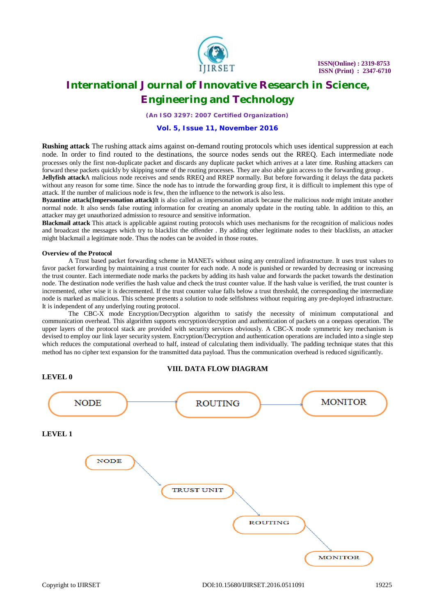

*(An ISO 3297: 2007 Certified Organization)*

### **Vol. 5, Issue 11, November 2016**

**Rushing attack** The rushing attack aims against on-demand routing protocols which uses identical suppression at each node. In order to find routed to the destinations, the source nodes sends out the RREQ. Each intermediate node processes only the first non-duplicate packet and discards any duplicate packet which arrives at a later time. Rushing attackers can forward these packets quickly by skipping some of the routing processes. They are also able gain access to the forwarding group .

**Jellyfish attack**A malicious node receives and sends RREQ and RREP normally. But before forwarding it delays the data packets without any reason for some time. Since the node has to intrude the forwarding group first, it is difficult to implement this type of attack. If the number of malicious node is few, then the influence to the network is also less.

**Byzantine attack(Impersonation attack)**It is also called as impersonation attack because the malicious node might imitate another normal node. It also sends false routing information for creating an anomaly update in the routing table. In addition to this, an attacker may get unauthorized admission to resource and sensitive information.

**Blackmail attack** This attack is applicable against routing protocols which uses mechanisms for the recognition of malicious nodes and broadcast the messages which try to blacklist the offender . By adding other legitimate nodes to their blacklists, an attacker might blackmail a legitimate node. Thus the nodes can be avoided in those routes.

#### **Overview of the Protocol**

A Trust based packet forwarding scheme in MANETs without using any centralized infrastructure. It uses trust values to favor packet forwarding by maintaining a trust counter for each node. A node is punished or rewarded by decreasing or increasing the trust counter. Each intermediate node marks the packets by adding its hash value and forwards the packet towards the destination node. The destination node verifies the hash value and check the trust counter value. If the hash value is verified, the trust counter is incremented, other wise it is decremented. If the trust counter value falls below a trust threshold, the corresponding the intermediate node is marked as malicious. This scheme presents a solution to node selfishness without requiring any pre-deployed infrastructure. It is independent of any underlying routing protocol.

The CBC-X mode Encryption/Decryption algorithm to satisfy the necessity of minimum computational and communication overhead. This algorithm supports encryption/decryption and authentication of packets on a onepass operation. The upper layers of the protocol stack are provided with security services obviously. A CBC-X mode symmetric key mechanism is devised to employ our link layer security system. Encryption/Decryption and authentication operations are included into a single step which reduces the computational overhead to half, instead of calculating them individually. The padding technique states that this method has no cipher text expansion for the transmitted data payload. Thus the communication overhead is reduced significantly.

#### **VIII. DATA FLOW DIAGRAM**

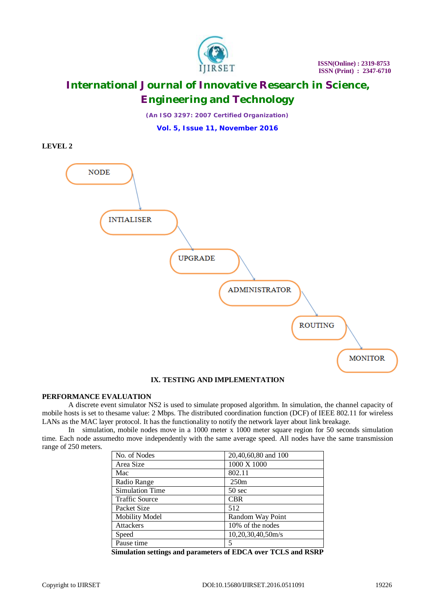

*(An ISO 3297: 2007 Certified Organization)*

**Vol. 5, Issue 11, November 2016**





# **IX. TESTING AND IMPLEMENTATION**

# **PERFORMANCE EVALUATION**

A discrete event simulator NS2 is used to simulate proposed algorithm. In simulation, the channel capacity of mobile hosts is set to thesame value: 2 Mbps. The distributed coordination function (DCF) of IEEE 802.11 for wireless LANs as the MAC layer protocol. It has the functionality to notify the network layer about link breakage.

In simulation, mobile nodes move in a 1000 meter x 1000 meter square region for 50 seconds simulation time. Each node assumedto move independently with the same average speed. All nodes have the same transmission range of 250 meters.

| No. of Nodes           | 20,40,60,80 and 100 |
|------------------------|---------------------|
| Area Size              | 1000 X 1000         |
| Mac                    | 802.11              |
| Radio Range            | 250m                |
| <b>Simulation Time</b> | $50 \text{ sec}$    |
| <b>Traffic Source</b>  | <b>CBR</b>          |
| Packet Size            | 512                 |
| <b>Mobility Model</b>  | Random Way Point    |
| <b>Attackers</b>       | 10% of the nodes    |
| Speed                  | 10,20,30,40,50m/s   |
| Pause time             | 5                   |

**Simulation settings and parameters of EDCA over TCLS and RSRP**